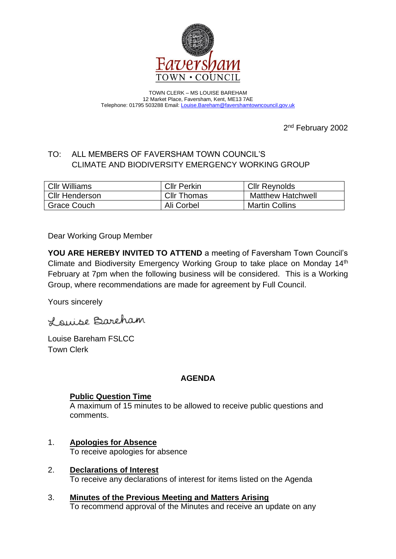

TOWN CLERK – MS LOUISE BAREHAM 12 Market Place, Faversham, Kent, ME13 7AE Telephone: 01795 503288 Email: [Louise.Bareham@favershamtowncouncil.gov.uk](mailto:Louise.Bareham@favershamtowncouncil.gov.uk)

2<sup>nd</sup> February 2002

# TO: ALL MEMBERS OF FAVERSHAM TOWN COUNCIL'S CLIMATE AND BIODIVERSITY EMERGENCY WORKING GROUP

| <b>Cllr Williams</b>  | <b>Cllr Perkin</b> | <b>Cllr Reynolds</b>     |
|-----------------------|--------------------|--------------------------|
| <b>CIIr Henderson</b> | <b>CIIr Thomas</b> | <b>Matthew Hatchwell</b> |
| Grace Couch           | Ali Corbel         | <b>Martin Collins</b>    |

Dear Working Group Member

**YOU ARE HEREBY INVITED TO ATTEND** a meeting of Faversham Town Council's Climate and Biodiversity Emergency Working Group to take place on Monday 14th February at 7pm when the following business will be considered. This is a Working Group, where recommendations are made for agreement by Full Council.

Yours sincerely

Louise Bareham

Louise Bareham FSLCC Town Clerk

## **AGENDA**

# **Public Question Time**

A maximum of 15 minutes to be allowed to receive public questions and comments.

- 1. **Apologies for Absence** To receive apologies for absence
- 2. **Declarations of Interest** To receive any declarations of interest for items listed on the Agenda
- 3. **Minutes of the Previous Meeting and Matters Arising** To recommend approval of the Minutes and receive an update on any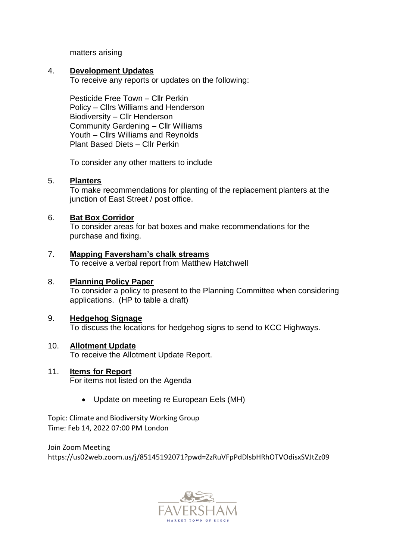matters arising

## 4. **Development Updates**

To receive any reports or updates on the following:

Pesticide Free Town – Cllr Perkin Policy – Cllrs Williams and Henderson Biodiversity – Cllr Henderson Community Gardening – Cllr Williams Youth – Cllrs Williams and Reynolds Plant Based Diets – Cllr Perkin

To consider any other matters to include

## 5. **Planters**

To make recommendations for planting of the replacement planters at the junction of East Street / post office.

## 6. **Bat Box Corridor**

To consider areas for bat boxes and make recommendations for the purchase and fixing.

## 7. **Mapping Faversham's chalk streams**

To receive a verbal report from Matthew Hatchwell

## 8. **Planning Policy Paper**

To consider a policy to present to the Planning Committee when considering applications. (HP to table a draft)

## 9. **Hedgehog Signage**

To discuss the locations for hedgehog signs to send to KCC Highways.

## 10. **Allotment Update**

To receive the Allotment Update Report.

## 11. **Items for Report**

For items not listed on the Agenda

• Update on meeting re European Eels (MH)

Topic: Climate and Biodiversity Working Group Time: Feb 14, 2022 07:00 PM London

Join Zoom Meeting https://us02web.zoom.us/j/85145192071?pwd=ZzRuVFpPdDlsbHRhOTVOdisxSVJtZz09